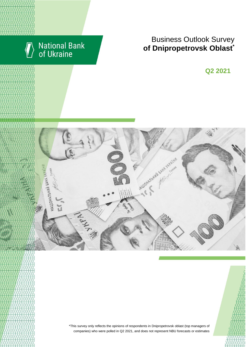

# Business Outlook Survey **of Dnipropetrovsk Oblast**\*

**Q2 2021**



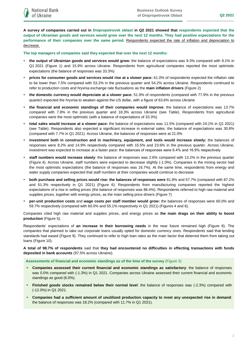**A survey of companies carried out in Dnipropetrovsk oblast in Q2 2021 showed that respondents expected that the output of Ukrainian goods and services would grow over the next 12 months. They had positive expectations for the performance of their companies over the same period.** Respondents expected the rate of inflation and depreciation to decrease.

**The top managers of companies said they expected that over the next 12 months:**

- **the output of Ukrainian goods and services would grow:** the balance of expectations was 9.3% compared with 9.1% in Q1 2021 (Figure 1) and 15.9% across Ukraine. Respondents from agricultural companies reported the most optimistic expectations (the balance of responses was 33.3%)
- **prices for consumer goods and services would rise at a slower pace:** 61.0% of respondents expected the inflation rate to be lower than 7.5% compared with 53.2% in the previous quarter and 54.2% across Ukraine. Respondents continued to refer to production costs and hryvnia exchange rate fluctuations as the **main inflation drivers** (Figure 2)
- **the domestic currency would depreciate at a slower pace:** 51.9% of respondents (compared with 77.9% in the previous quarter) expected the hryvnia to weaken against the US dollar, with a figure of 63.6% across Ukraine
- **the financial and economic standings of their companies would improve**: the balance of expectations was 13.7% compared with 7.8% in the previous quarter and 18.3% across Ukraine (see Table). Respondents from agricultural companies were the most optimistic (with a balance of expectations of 33.3%)
- **total sales would increase at a slower pace:** the balance of expectations was 11.5% (compared with 24.1% in Q1 2021) (see Table). Respondents also expected a significant increase in external sales: the balance of expectations was 30.8% (compared with 7.7% in Q1 2021). Across Ukraine, the balances of responses were at 21.0%
- **investment both in construction and in machinery, equipment, and tools would increase slowly:** the balances of responses were 8.2% and 14.9% respectively compared with 15.5% and 23.6% in the previous quarter. Across Ukraine, investment was expected to increase at a faster pace: the balances of responses were 6.4% and 16.9% respectively
- **staff numbers would increase slowly**: the balance of responses was 2.6% compared with 13.2% in the previous quarter (Figure 4). Across Ukraine, staff numbers were expected to decrease slightly (-1.0%). Companies in the mining sector had the most optimistic expectations (the balance of responses was 16.7%). At the same time, respondents from energy and water supply companies expected that staff numbers at their companies would continue to decrease
- **both purchase and selling prices would rise: the balances of responses were** 81.8% and 57.7% (compared with 87.2% and 51.3% respectively in Q1 2021) (Figure 6). Respondents from manufacturing companies reported the highest expectations of a rise in selling prices (the balance of responses was 86.4%). Respondents referred to high raw material and supplies prices, together with energy prices, as the main selling price drivers (Figure 7)
- **per-unit production costs** and **wage costs per staff member would grow:** the balances of responses were 60.0% and 59.7% respectively (compared with 60.0% and 55.1% respectively in Q1 2021) (Figures 4 and 6).

Companies cited high raw material and supplies prices, and energy prices as **the main drags on their ability to boost production** (Figure 5).

Respondents' expectations of **an increase in their borrowing needs** in the near future remained high (Figure 8). The companies that planned to take out corporate loans usually opted for domestic currency ones. Respondents said that lending standards had eased (Figure 9). They continued to refer to high loan rates as the main factor that deterred them from taking out loans (Figure 10).

**A total of 98.7% of respondents** said that **they had encountered no difficulties in effecting transactions with funds deposited in bank accounts** (97.5% across Ukraine).

**Assessments of financial and economic standings as of the time of the survey** (Figure 3)

- **Companies assessed their current financial and economic standings as satisfactory**: the balance of responses was 0.0% compared with (-1.3%) in Q1 2021. Companies across Ukraine assessed their current financial and economic standings as good (6.0%).
- **Finished goods stocks remained below their normal level**: the balance of responses was (-2.3%) compared with (-12.0%) in Q1 2021.
- **Companies had a sufficient amount of unutilized production capacity to meet any unexpected rise in demand**: the balance of responses was 18.2% (compared with 11.7% in Q1 2021).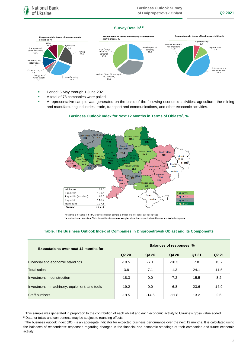### **Survey Details<sup>1</sup> <sup>2</sup>**



- **Period: 5 May through 1 June 2021.**
- A total of 78 companies were polled.
- A representative sample was generated on the basis of the following economic activities: agriculture, the mining and manufacturing industries, trade, transport and communications, and other economic activities.



## **Business Outlook Index for Next 12 Months in Terms of Oblasts<sup>3</sup> , %**

\*a quartile is the value of the BOI where an ordered sample is divided into four equal-sized subgroups \*\*a median is the value of the BOI in the middle of an ordered sampled where the sample is divided into two equal-sized subgroups

### **Table. The Business Outlook Index of Companies in Dnipropetrovsk Oblast and Its Components**

| <b>Expectations over next 12 months for</b>   | <b>Balances of responses, %</b> |         |         |       |                   |
|-----------------------------------------------|---------------------------------|---------|---------|-------|-------------------|
|                                               | Q <sub>2</sub> 20               | Q3 20   | Q4 20   | Q1 21 | Q <sub>2</sub> 21 |
| Financial and economic standings              | $-10.5$                         | $-7.1$  | $-10.3$ | 7.8   | 13.7              |
| <b>Total sales</b>                            | $-3.8$                          | 7.1     | $-1.3$  | 24.1  | 11.5              |
| Investment in construction                    | $-18.3$                         | 0.0     | $-7.2$  | 15.5  | 8.2               |
| Investment in machinery, equipment, and tools | $-19.2$                         | 0.0     | $-6.8$  | 23.6  | 14.9              |
| Staff numbers                                 | $-19.5$                         | $-14.6$ | $-11.8$ | 13.2  | 2.6               |

<sup>1</sup> This sample was generated in proportion to the contribution of each oblast and each economic activity to Ukraine's gross value added.

1

<sup>2</sup> Data for totals and components may be subject to rounding effects.

<sup>&</sup>lt;sup>3</sup> The business outlook index (BOI) is an aggregate indicator for expected business performance over the next 12 months. It is calculated using the balances of respondents' responses regarding changes in the financial and economic standings of their companies and future economic activity.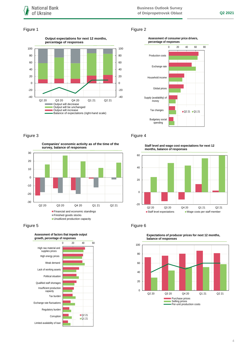### Figure 1 Figure 2





Figure 3 **Figure 4** 



**Companies' economic activity as of the time of the** 



**Staff level and wage cost expectations for next 12 months, balance of responses**



## Figure 5 **Figure 6**



**Expectations of producer prices for next 12 months, balance of responses**